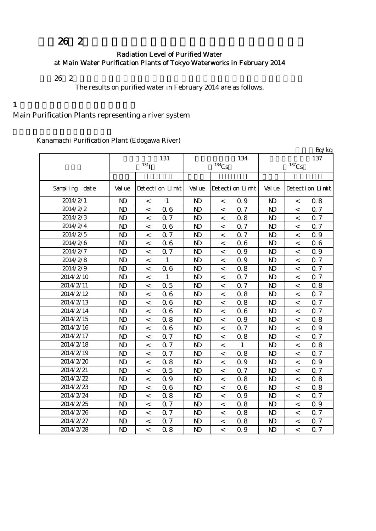# 26 2

#### Radiation Level of Purified Water at Main Water Purification Plants of Tokyo Waterworks in February 2014

 $26\;\;2$ 

The results on purified water in February 2014 are as follows.

 $1$ 

## Main Purification Plants representing a river system

Kanamachi Purification Plant (Edogawa River)

|               |                |                          |                 |                |                          |                 |                |                          | Bq/kg           |
|---------------|----------------|--------------------------|-----------------|----------------|--------------------------|-----------------|----------------|--------------------------|-----------------|
|               |                | 131                      |                 |                | 134                      | 137             |                |                          |                 |
|               |                | 131 <sub>I</sub>         |                 | $134$ Cs       |                          |                 | $137$ Cs       |                          |                 |
|               |                |                          |                 |                |                          |                 |                |                          |                 |
| Sampling date | Val ue         |                          | Detection Limit | Val ue         |                          | Detection Limit | Val ue         |                          | Detection Limit |
| 2014/2/1      | $\mathbf{D}$   | $\,<$                    | $\mathbf{1}$    | N <sub>D</sub> | $\,<\,$                  | 0.9             | $\mathbf{D}$   | $\,<$                    | 0.8             |
| 2014/2/2      | $\mathbf{N}$   | $\overline{\phantom{0}}$ | 0.6             | N <sub>D</sub> | $\,<\,$                  | 0.7             | $\mathbf{N}$   | $\overline{\phantom{a}}$ | 0.7             |
| 2014/2/3      | $\mathbf{N}$   | $\,<\,$                  | 0.7             | N <sub>D</sub> | $\,<\,$                  | 0.8             | $\mathbf{D}$   | $\lt$                    | <b>Q</b> 7      |
| 2014/2/4      | $\mathbf{N}$   | $\,<$                    | 06              | N <sub>D</sub> | $\,<\,$                  | 0.7             | $\mathbf{D}$   | $\,<\,$                  | 0.7             |
| 2014/2/5      | $\mathbf{N}$   | $\,<\,$                  | <b>Q7</b>       | N <sub>D</sub> | $\,<\,$                  | 0.7             | $\mathbf{D}$   | $\,<\,$                  | Q 9             |
| 2014/2/6      | $\mathbf{N}$   | $\,<\,$                  | 06              | N <sub>D</sub> | $\,<\,$                  | 0.6             | $\mathbf{D}$   | $\lt$                    | 06              |
| 2014/2/7      | $\mathbf{N}$   | $\,<\,$                  | 0.7             | N <sub>D</sub> | $\,<\,$                  | 0.9             | $\mathbf{D}$   | $\,<\,$                  | 0.9             |
| 2014/2/8      | $\mathbf{D}$   | $\,<\,$                  | $\mathbf{1}$    | N <sub>D</sub> | $\,<$                    | 0.9             | $\mathbf{D}$   | $\,<\,$                  | 0.7             |
| 2014/2/9      | $\mathbf{N}$   | $\,<$                    | 06              | N <sub>D</sub> | $\,<\,$                  | 0.8             | N <sub>D</sub> | $\,<\,$                  | 0.7             |
| 2014/2/10     | $\mathbf{N}$   | $\,<\,$                  | $\mathbf{1}$    | N <sub>D</sub> | $\,<\,$                  | 0.7             | $\mathbf{D}$   | $\,<\,$                  | Q 7             |
| 2014/2/11     | $\mathbf{N}$   | $\overline{\phantom{a}}$ | 0.5             | N <sub>D</sub> | $\,<\,$                  | 0.7             | $\mathbf{D}$   | $\lt$                    | 0.8             |
| 2014/2/12     | $\mathbf{N}$   | $\,<\,$                  | 06              | N <sub>D</sub> | $\,<\,$                  | 0.8             | $\mathbf{D}$   | $\,<\,$                  | 0.7             |
| 2014/2/13     | $\mathbf{D}$   | $\,<\,$                  | 06              | N <sub>D</sub> | $\lt$                    | 0.8             | $\mathbf{D}$   | $\,<\,$                  | 0.7             |
| 2014/2/14     | $\mathbf{N}$   | $\,<\,$                  | 06              | N <sub>D</sub> | $\,<\,$                  | 0.6             | $\mathbf{D}$   | $\,<\,$                  | 0.7             |
| 2014/2/15     | $\mathbf{N}$   | $\,<\,$                  | 0.8             | N <sub>D</sub> | $\,<\,$                  | 0.9             | $\mathbf{D}$   | $\,<\,$                  | 0.8             |
| 2014/2/16     | $\mathbf{N}$   | $\overline{\phantom{a}}$ | 06              | N <sub>D</sub> | $\,<\,$                  | 0.7             | $\mathbf{D}$   | $\lt$                    | 0.9             |
| 2014/2/17     | N <sub>D</sub> | $\overline{\phantom{a}}$ | 0.7             | N <sub>D</sub> | $\,<\,$                  | 0.8             | $\mathbf{D}$   | $\overline{a}$           | 0.7             |
| 2014/2/18     | $\mathbf{D}$   | $\,<\,$                  | 0.7             | N <sub>D</sub> | $\,<\,$                  | $\mathbf{1}$    | $\mathbf{D}$   | $\lt$                    | 0.8             |
| 2014/2/19     | $\mathbf{N}$   | $\,<\,$                  | 0.7             | N <sub>D</sub> | $\,<\,$                  | 0.8             | $\mathbf{D}$   | $\,<\,$                  | Q 7             |
| 2014/2/20     | $\mathbf{N}$   | $\,<\,$                  | 0.8             | N <sub>D</sub> | $\,<\,$                  | 0.9             | N <sub>D</sub> | $\,<\,$                  | 0.9             |
| 2014/2/21     | $\mathbf{D}$   | $\,<$                    | 0.5             | N <sub>D</sub> | $\,<\,$                  | 0.7             | $\mathbf{D}$   | $\,<$                    | 0.7             |
| 2014/2/22     | $\mathbf{N}$   | $\overline{\phantom{0}}$ | 0.9             | N <sub>D</sub> | $\prec$                  | 0.8             | $\mathbf{D}$   | $\overline{\phantom{a}}$ | 0.8             |
| 2014/2/23     | $\mathbf{N}$   | $\,<\,$                  | 06              | N <sub>D</sub> | $\,<\,$                  | 0.6             | $\mathbf{D}$   | $\,<\,$                  | 0.8             |
| 2014/2/24     | $\mathbf{N}$   | $\,<\,$                  | 0.8             | N <sub>D</sub> | $\,<\,$                  | 0.9             | N <sub>D</sub> | $\,<\,$                  | 0.7             |
| 2014/2/25     | $\mathbf{N}$   | $\lt$                    | 0.7             | N <sub>D</sub> | $\lt$                    | 0.8             | N <sub>D</sub> | $\lt$                    | Q 9             |
| 2014/2/26     | $\mathbf{N}$   | $\,<\,$                  | 0.7             | N <sub>D</sub> | $\,<\,$                  | 0.8             | $\mathbf{D}$   | $\lt$                    | 0.7             |
| 2014/2/27     | $\mathbf{N}$   | $\overline{\phantom{a}}$ | 0.7             | N <sub>D</sub> | $\overline{\phantom{0}}$ | 0.8             | $\mathbf{D}$   | $\overline{\phantom{a}}$ | Q 7             |
| 2014/2/28     | $\mathbf{N}$   | $\overline{a}$           | 0.8             | N <sub>D</sub> | $\overline{a}$           | 0.9             | $\mathbf{D}$   | $\overline{a}$           | 0.7             |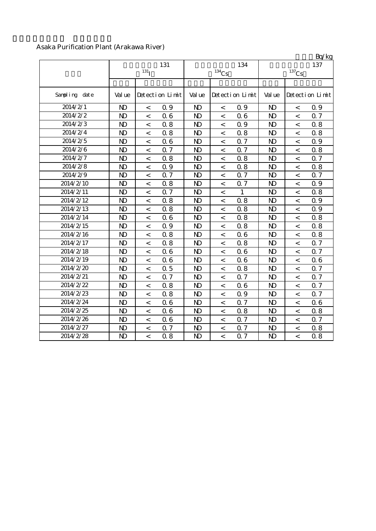### Asaka Purification Plant (Arakawa River)

|               |                |                  |                 |                |                          |                 |                |                          | Bq/kg           |
|---------------|----------------|------------------|-----------------|----------------|--------------------------|-----------------|----------------|--------------------------|-----------------|
|               |                |                  | 131             |                |                          | 134             |                |                          | 137             |
|               |                | 131 <sub>T</sub> |                 |                | $^{134}\mathrm{Cs}$      |                 |                | $^{137}\mathrm{Cs}$      |                 |
|               |                |                  |                 |                |                          |                 |                |                          |                 |
| Sampling date | Val ue         |                  | Detection Limit | Val ue         |                          | Detection Limit | Val ue         |                          | Detection Limit |
| 2014/2/1      | $\mathbf{D}$   | $\,<$            | 0.9             | N <sub>D</sub> | $\,<\,$                  | Q 9             | N <sub>D</sub> | $\,<\,$                  | 0.9             |
| 2014/2/2      | $\mathbf{D}$   | $\,<$            | 0.6             | $\mathbf{D}$   | $\,<\,$                  | 0.6             | $\mathbf{D}$   | $\overline{\phantom{a}}$ | 0.7             |
| 2014/2/3      | $\mathbf{N}$   | $\,<\,$          | 0.8             | N <sub>D</sub> | $\,<\,$                  | 0.9             | $\mathbf{D}$   | $\,<\,$                  | 0.8             |
| 2014/2/4      | $\mathbf{N}$   | $\,<$            | 0.8             | N <sub>D</sub> | $\,<\,$                  | 0.8             | $\mathbf{N}$   | $\,<\,$                  | 0.8             |
| 2014/2/5      | N <sub>D</sub> | $\,<$            | 06              | N <sub>D</sub> | $\,<$                    | 0.7             | $\mathbf{D}$   | $\overline{\phantom{0}}$ | 0.9             |
| 2014/2/6      | $\mathbf{N}$   | $\,<$            | 0.7             | $\mathbf{D}$   | $\,<$                    | 0.7             | $\mathbf{N}$   | $\overline{a}$           | 0.8             |
| 2014/2/7      | $\mathbf{D}$   | $\,<$            | 0.8             | N <sub>D</sub> | $\,<\,$                  | 0.8             | $\mathbf{D}$   | $\,<\,$                  | 0.7             |
| 2014/2/8      | $\mathbf{N}$   | $\,<\,$          | 0.9             | $\mathbf{D}$   | $\,<\,$                  | 0.8             | $\mathbf{D}$   | $\,<\,$                  | 0.8             |
| 2014/2/9      | $\mathbf{D}$   | $\,<\,$          | 0.7             | N <sub>D</sub> | $\,<\,$                  | 0.7             | $\mathbf{D}$   | $\,<\,$                  | 0.7             |
| 2014/2/10     | $\mathbf{D}$   | $\lt$            | 0.8             | N <sub>D</sub> | $\overline{\phantom{a}}$ | 0.7             | $\mathbf{D}$   | $\overline{\phantom{a}}$ | 0.9             |
| 2014/2/11     | $\mathbf{D}$   | $\,<$            | 0.7             | N <sub>D</sub> | $\,<$                    | $\mathbf{1}$    | $\mathbf{D}$   | $\lt$                    | 0.8             |
| 2014/2/12     | $\mathbf{N}$   | $\,<$            | 0.8             | N <sub>D</sub> | $\,<$                    | 0.8             | $\mathbf{D}$   | $\overline{\phantom{a}}$ | 0.9             |
| 2014/2/13     | $\mathbf{D}$   | $\,<$            | 0.8             | $\mathbf{D}$   | $\,<\,$                  | 0.8             | $\mathbf{D}$   | $\,<\,$                  | 0.9             |
| 2014/2/14     | $\mathbf{N}$   | $\,<$            | 06              | $\mathbf{D}$   | $\,<$                    | 0.8             | $\mathbf{D}$   | $\overline{\phantom{a}}$ | 0.8             |
| 2014/2/15     | $\mathbf{D}$   | $\,<\,$          | 0.9             | N <sub>D</sub> | $\overline{\phantom{a}}$ | 0.8             | $\mathbf{D}$   | $\,<\,$                  | 0.8             |
| 2014/2/16     | $\mathbf{D}$   | $\,<$            | 0.8             | $\mathbf{D}$   | $\,<\,$                  | 0.6             | $\mathbf{D}$   | $\,<\,$                  | 0.8             |
| 2014/2/17     | N <sub>D</sub> | $\,<\,$          | 0.8             | N <sub>D</sub> | $\,<\,$                  | 0.8             | $\mathbf{D}$   | $\,<\,$                  | 0.7             |
| 2014/2/18     | $\mathbf{N}$   | $\,<$            | 06              | N <sub>D</sub> | $\,<\,$                  | 0.6             | $\mathbf{N}$   | $\overline{\phantom{a}}$ | <b>Q</b> 7      |
| 2014/2/19     | $\mathbf{D}$   | $\,<\,$          | 06              | $\mathbf{D}$   | $\,<\,$                  | 0.6             | $\mathbf{D}$   | $\overline{\phantom{a}}$ | 06              |
| 2014/2/20     | $\mathbf{D}$   | $\,<$            | 0.5             | $\mathbf{D}$   | $\overline{\phantom{a}}$ | 0.8             | $\mathbf{D}$   | $\overline{\phantom{a}}$ | 0.7             |
| 2014/2/21     | $\mathbf{D}$   | $\,<$            | 0.7             | N <sub>D</sub> | $\,<$                    | 0.7             | N <sub>D</sub> | $\,<$                    | 0.7             |
| 2014/2/22     | $\mathbf{N}$   | $\,<$            | 0.8             | N <sub>D</sub> | $\,<$                    | 0.6             | $\mathbf{N}$   | $\overline{a}$           | 0.7             |
| 2014/2/23     | $\mathbf{N}$   | $\,<$            | 0.8             | N <sub>D</sub> | $\,<\,$                  | 0.9             | $\mathbf{N}$   | $\,<\,$                  | 0.7             |
| 2014/2/24     | $\mathbf{D}$   | $\,<$            | 06              | $\mathbf{D}$   | $\,<\,$                  | 0.7             | $\mathbf{D}$   | $\overline{<}$           | 06              |
| 2014/2/25     | $\mathbf{D}$   | $\,<$            | 06              | $\mathbf{D}$   | $\,<\,$                  | 0.8             | $\mathbf{D}$   | $\,<$                    | 0.8             |
| 2014/2/26     | $\mathbf{D}$   | $\,<$            | 06              | $\mathbf{D}$   | $\,<\,$                  | 0.7             | $\mathbf{D}$   | $\,<\,$                  | <b>Q</b> 7      |
| 2014/2/27     | N <sub>D</sub> | $\,<$            | 0.7             | N <sub>D</sub> | $\,<\,$                  | 0.7             | $\mathbf{D}$   | $\,<\,$                  | 0.8             |
| 2014/2/28     | $\mathbf{N}$   | $\,<$            | 0.8             | N <sub>D</sub> | $\,<\,$                  | 0.7             | $\mathbf{D}$   | $\overline{\phantom{a}}$ | 0.8             |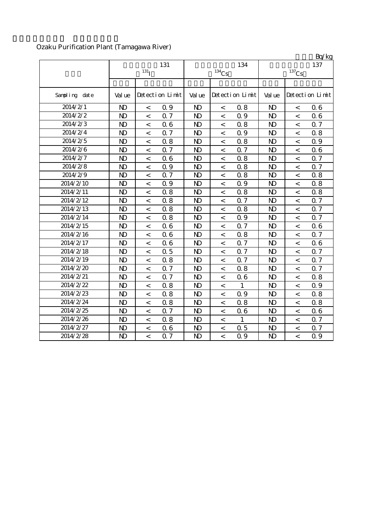## Ozaku Purification Plant (Tamagawa River)

|               |              |                          |                 |                |                          |                 |                |                          | Bq/kg           |
|---------------|--------------|--------------------------|-----------------|----------------|--------------------------|-----------------|----------------|--------------------------|-----------------|
|               |              |                          | 131             |                |                          | 134             |                |                          | 137             |
|               |              | 131 <sub>I</sub>         |                 |                | $^{134}\mathrm{Cs}$      |                 |                | $^{137}\mathrm{Cs}$      |                 |
|               |              |                          |                 |                |                          |                 |                |                          |                 |
| Sampling date | Val ue       |                          | Detection Limit | Val ue         |                          | Detection Limit | Val ue         |                          | Detection Limit |
| 2014/2/1      | $\mathbf{D}$ | $\,<\,$                  | 0.9             | $\mathbf{D}$   | $\,<$                    | 0.8             | $\mathbf{D}$   | $\,<$                    | 06              |
| 2014/2/2      | $\mathbf{N}$ | $\,<\,$                  | 0.7             | $\mathbf{D}$   | $\,<\,$                  | 0.9             | N <sub>D</sub> | $\,<\,$                  | 06              |
| 2014/2/3      | $\mathbf{D}$ | $\,<\,$                  | 06              | $\mathbf{D}$   | $\,<\,$                  | 0.8             | N <sub>D</sub> | $\overline{\phantom{a}}$ | 0.7             |
| 2014/2/4      | $\mathbf{N}$ | $\,<$                    | 0.7             | $\mathbf{D}$   | $\,<$                    | 0.9             | N <sub>D</sub> | $\,<$                    | 0.8             |
| 2014/2/5      | $\mathbf{D}$ | $\,<$                    | 0.8             | $\mathbf{D}$   | $\overline{\phantom{a}}$ | 0.8             | N <sub>D</sub> | $\overline{<}$           | 0.9             |
| 2014/2/6      | $\mathbf{D}$ | $\,<$                    | 0.7             | $\mathbf{D}$   | $\,<$                    | 0.7             | N <sub>D</sub> | $\,<$                    | 06              |
| 2014/2/7      | $\mathbf{D}$ | $\,<$                    | 06              | $\mathbf{D}$   | $\,<$                    | 0.8             | N <sub>D</sub> | $\lt$                    | 0.7             |
| 2014/2/8      | $\mathbf{D}$ | $\,<\,$                  | Q 9             | $\mathbf{D}$   | $\,<\,$                  | 0.8             | N <sub>D</sub> | $\,<\,$                  | 0.7             |
| 2014/2/9      | $\mathbf{N}$ | $\,<$                    | 0.7             | $\mathbf{D}$   | $\,<$                    | 0.8             | N <sub>D</sub> | $\lt$                    | 0.8             |
| 2014/2/10     | $\mathbf{D}$ | $\overline{\phantom{a}}$ | 0.9             | $\mathbf{D}$   | $\,<$                    | 0.9             | N <sub>D</sub> | $\,<\,$                  | 0.8             |
| 2014/2/11     | $\mathbf{N}$ | $\,<$                    | 0.8             | $\mathbf{D}$   | $\,<$                    | 0.8             | N <sub>D</sub> | $\,<$                    | 0.8             |
| 2014/2/12     | $\mathbf{D}$ | $\,<$                    | 0.8             | $\mathbf{D}$   | $\,<\,$                  | 0.7             | N <sub>D</sub> | $\,<$                    | 0.7             |
| 2014/2/13     | $\mathbf{D}$ | $\,<$                    | 0.8             | $\mathbf{D}$   | $\,<$                    | 0.8             | $\mathbf{D}$   | $\,<$                    | Q 7             |
| 2014/2/14     | $\mathbf{D}$ | $\,<$                    | 0.8             | $\mathbf{D}$   | $\,<$                    | 0.9             | N <sub>D</sub> | $\,<\,$                  | 0.7             |
| 2014/2/15     | $\mathbf{D}$ | $\,<$                    | 06              | $\mathbf{D}$   | $\,<$                    | 0.7             | N <sub>D</sub> | $\,<\,$                  | 06              |
| 2014/2/16     | $\mathbf{N}$ | $\,<$                    | 06              | $\mathbf{D}$   | $\,<\,$                  | 0.8             | N <sub>D</sub> | $\,<\,$                  | 0.7             |
| 2014/2/17     | $\mathbf{D}$ | $\overline{\phantom{a}}$ | 06              | $\mathbf{D}$   | $\,<\,$                  | 0.7             | N <sub>D</sub> | $\lt$                    | 06              |
| 2014/2/18     | $\mathbf{D}$ | $\,<$                    | 0.5             | $\mathbf{D}$   | $\,<\,$                  | 0.7             | N <sub>D</sub> | $\lt$                    | 0.7             |
| 2014/2/19     | $\mathbf{D}$ | $\overline{\phantom{a}}$ | 0.8             | $\mathbf{D}$   | $\,<$                    | 0.7             | N <sub>D</sub> | $\,<$                    | 0.7             |
| 2014/2/20     | $\mathbf{D}$ | $\,<$                    | 0.7             | $\mathbf{D}$   | $\,<$                    | 0.8             | N <sub>D</sub> | $\lt$                    | 0.7             |
| 2014/2/21     | $\mathbf{N}$ | $\,<$                    | 0.7             | N <sub>D</sub> | $\,<\,$                  | 0.6             | N <sub>D</sub> | $\,<\,$                  | 0.8             |
| 2014/2/22     | $\mathbf{N}$ | $\,<$                    | 0.8             | $\mathbf{D}$   | $\,<$                    | $\mathbf{1}$    | N <sub>D</sub> | $\,<\,$                  | 0.9             |
| 2014/2/23     | $\mathbf{N}$ | $\,<$                    | 0.8             | $\mathbf{D}$   | $\,<$                    | 0.9             | N <sub>D</sub> | $\overline{a}$           | 0.8             |
| 2014/2/24     | $\mathbf{D}$ | $\,<$                    | 0.8             | $\mathbf{D}$   | $\,<\,$                  | 0.8             | $\mathbf{D}$   | $\,<$                    | 0.8             |
| 2014/2/25     | $\mathbf{D}$ | $\,<$                    | 0.7             | $\mathbf{D}$   | $\,<$                    | 0.6             | N <sub>D</sub> | $\,<$                    | 06              |
| 2014/2/26     | $\mathbf{N}$ | $\overline{\phantom{a}}$ | 0.8             | $\mathbf{D}$   | $\,<\,$                  | 1               | N <sub>D</sub> | $\,<$                    | 0.7             |
| 2014/2/27     | $\mathbf{D}$ | $\,<\,$                  | 06              | $\mathbf{D}$   | $\,<\,$                  | 0.5             | $\mathbf{D}$   | $\,<$                    | 0.7             |
| 2014/2/28     | $\mathbf{N}$ | $\overline{\phantom{a}}$ | 0.7             | N <sub>D</sub> | $\,<$                    | 0.9             | N <sub>D</sub> | $\overline{\phantom{a}}$ | 0.9             |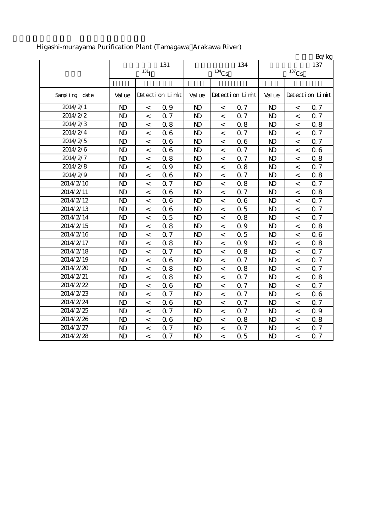|               |              |                          |                 |                |                          |                 |                |                          | Bq/kg           |
|---------------|--------------|--------------------------|-----------------|----------------|--------------------------|-----------------|----------------|--------------------------|-----------------|
|               |              |                          | 131             |                |                          | 134             |                |                          | 137             |
|               |              | $131$ <sup>T</sup>       |                 |                | $^{134}\mathrm{Cs}$      |                 |                | $^{137}\mathrm{Cs}$      |                 |
|               |              |                          |                 |                |                          |                 |                |                          |                 |
| Sampling date | Val ue       |                          | Detection Limit | Val ue         |                          | Detection Limit | Val ue         |                          | Detection Limit |
| 2014/2/1      | $\mathbf{N}$ | $\,<\,$                  | 0.9             | $\mathbf{D}$   | $\,<$                    | 0.7             | $\mathbf{N}$   | $\,<\,$                  | 0.7             |
| 2014/2/2      | $\mathbf{D}$ | $\,<\,$                  | 0.7             | $\mathbf{D}$   | $\,<\,$                  | 0.7             | $\mathbf{N}$   | $\,<$                    | Q 7             |
| 2014/2/3      | $\mathbf{N}$ | $\,<\,$                  | 0.8             | $\mathbf{D}$   | $\,<\,$                  | 0.8             | $\mathbf{D}$   | $\,<$                    | 0.8             |
| 2014/2/4      | $\mathbf{D}$ | $\,<$                    | 06              | $\mathbf{D}$   | $\,<\,$                  | 0.7             | $\mathbf{N}$   | $\,<$                    | Q 7             |
| 2014/2/5      | $\mathbf{N}$ | $\,<\,$                  | 06              | $\mathbf{D}$   | $\,<$                    | 0.6             | $\mathbf{D}$   | $\,<$                    | 0.7             |
| 2014/2/6      | $\mathbf{D}$ | $\,<$                    | 06              | $\mathbf{D}$   | $\,<$                    | 0.7             | $\mathbf{N}$   | $\,<$                    | 06              |
| 2014/2/7      | $\mathbf{N}$ | $\,<\,$                  | 0.8             | N <sub>D</sub> | $\overline{\phantom{a}}$ | 0.7             | $\mathbf{D}$   | $\,<\,$                  | 0.8             |
| 2014/2/8      | $\mathbf{N}$ | $\,<$                    | 0.9             | $\mathbf{D}$   | $\,<\,$                  | 0.8             | $\mathbf{D}$   | $\,<$                    | Q 7             |
| 2014/2/9      | $\mathbf{D}$ | $\,<\,$                  | 06              | $\mathbf{D}$   | $\,<$                    | 0.7             | $\mathbf{D}$   | $\,<$                    | 0.8             |
| 2014/2/10     | $\mathbf{D}$ | $\,<\,$                  | 0.7             | $\mathbf{D}$   | $\,<\,$                  | 0.8             | $\mathbf{D}$   | $\,<\,$                  | 0.7             |
| 2014/2/11     | $\mathbf{N}$ | $\,<\,$                  | 06              | $\mathbf{D}$   | $\,<$                    | 0.7             | $\mathbf{N}$   | $\,<\,$                  | 0.8             |
| 2014/2/12     | $\mathbf{D}$ | $\,<$                    | 06              | N <sub>D</sub> | $\,<\,$                  | 0.6             | $\mathbf{D}$   | $\,<\,$                  | 0.7             |
| 2014/2/13     | $\mathbf{N}$ | $\,<\,$                  | 06              | $\mathbf{D}$   | $\,<$                    | 0.5             | $\mathbf{N}$   | $\,<$                    | 0.7             |
| 2014/2/14     | $\mathbf{D}$ | $\overline{\phantom{0}}$ | 0.5             | $\mathbf{D}$   | $\overline{\phantom{a}}$ | 0.8             | $\mathbf{D}$   | $\overline{<}$           | 0.7             |
| 2014/2/15     | $\mathbf{D}$ | $\,<$                    | 0.8             | $\mathbf{D}$   | $\,<\,$                  | 0.9             | $\mathbf{D}$   | $\,<$                    | 0.8             |
| 2014/2/16     | $\mathbf{N}$ | $\,<$                    | 0.7             | $\mathbf{D}$   | $\,<$                    | 0.5             | $\mathbf{D}$   | $\,<\,$                  | 06              |
| 2014/2/17     | $\mathbf{D}$ | $\,<\,$                  | 0.8             | $\mathbf{D}$   | $\,<\,$                  | 0.9             | $\mathbf{D}$   | $\lt$                    | 0.8             |
| 2014/2/18     | $\mathbf{N}$ | $\,<\,$                  | 0.7             | $\mathbf{D}$   | $\,<\,$                  | 0.8             | $\mathbf{N}$   | $\,<$                    | 0.7             |
| 2014/2/19     | $\mathbf{N}$ | $\overline{\phantom{a}}$ | 06              | $\mathbf{D}$   | $\,<\,$                  | 0.7             | $\mathbf{N}$   | $\overline{\phantom{0}}$ | 0.7             |
| 2014/2/20     | $\mathbf{D}$ | $\,<$                    | 0.8             | $\mathbf{D}$   | $\,<\,$                  | 0.8             | $\mathbf{D}$   | $\,<$                    | 0.7             |
| 2014/2/21     | $\mathbf{N}$ | $\,<$                    | 0.8             | $\mathbf{D}$   | $\,<\,$                  | 0.7             | $\mathbf{D}$   | $\,<$                    | 0.8             |
| 2014/2/22     | $\mathbf{N}$ | $\,<$                    | 06              | $\mathbf{D}$   | $\,<$                    | 0.7             | $\mathbf{D}$   | $\,<$                    | Q 7             |
| 2014/2/23     | $\mathbf{N}$ | $\overline{a}$           | 0.7             | N <sub>D</sub> | $\lt$                    | 0.7             | $\mathbf{N}$   | $\overline{a}$           | 06              |
| 2014/2/24     | $\mathbf{D}$ | $\,<\,$                  | 06              | $\mathbf{D}$   | $\,<$                    | 0.7             | $\mathbf{D}$   | $\,<\,$                  | $\alpha$ 7      |
| 2014/2/25     | $\mathbf{D}$ | $\,<$                    | 0.7             | $\mathbf{D}$   | $\,<$                    | 0.7             | $\mathbf{D}$   | $\,<\,$                  | 0.9             |
| 2014/2/26     | $\mathbf{N}$ | $\,<\,$                  | 06              | $\mathbf{D}$   | $\,<\,$                  | 0.8             | $\mathbf{D}$   | $\,<\,$                  | 0.8             |
| 2014/2/27     | $\mathbf{D}$ | $\,<$                    | 0.7             | $\mathbf{D}$   | $\,<$                    | 0.7             | $\mathbf{D}$   | $\,<$                    | 0.7             |
| 2014/2/28     | $\mathbf{D}$ | $\overline{\phantom{a}}$ | 0.7             | $\mathbf{D}$   | $\overline{a}$           | 0.5             | N <sub>D</sub> | $\overline{a}$           | 0.7             |

# Higashi-murayama Purification Plant (Tamagawa Arakawa River)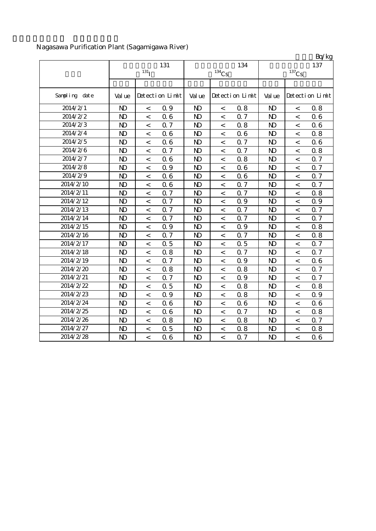# Nagasawa Purification Plant (Sagamigawa River)

|               |              |                          |                 |                |                          |                 |                |                | Bq/kg           |
|---------------|--------------|--------------------------|-----------------|----------------|--------------------------|-----------------|----------------|----------------|-----------------|
|               |              | 131                      |                 |                | 134                      | 137             |                |                |                 |
|               |              | 131 <sub>l</sub>         |                 | $134$ Cs       |                          |                 | $137$ Cs       |                |                 |
|               |              |                          |                 |                |                          |                 |                |                |                 |
| Sampling date | Val ue       |                          | Detection Limit | Val ue         |                          | Detection Limit | Val ue         |                | Detection Limit |
| 2014/2/1      | $\mathbf{N}$ | $\,<$                    | 0.9             | N <sub>D</sub> | $\,<\,$                  | 0.8             | $\mathbf{N}$   | $\,<$          | 0.8             |
| 2014/2/2      | $\mathbf{N}$ | $\,<$                    | 0.6             | N <sub>D</sub> | $\overline{\phantom{a}}$ | 0.7             | $\mathbf{N}$   | $\,<$          | 06              |
| 2014/2/3      | $\mathbf{N}$ | $\,<$                    | 0.7             | N <sub>D</sub> | $\,<\,$                  | 0.8             | $\mathbf{D}$   | $\,<$          | 06              |
| 2014/2/4      | $\mathbf{D}$ | $\,<$                    | 06              | N <sub>D</sub> | $\,<\,$                  | 0.6             | $\mathbf{D}$   | $\,<$          | 0.8             |
| 2014/2/5      | $\mathbf{D}$ | $\overline{\phantom{a}}$ | 06              | N <sub>D</sub> | $\,<\,$                  | 0.7             | $\mathbf{D}$   | $\lt$          | 06              |
| 2014/2/6      | $\mathbf{N}$ | $\,<$                    | Q 7             | N <sub>D</sub> | $\,<\,$                  | 0.7             | N <sub>D</sub> | $\,<$          | 0.8             |
| 2014/2/7      | $\mathbf{D}$ | $\overline{\phantom{a}}$ | 06              | N <sub>D</sub> | $\lt$                    | 0.8             | $\mathbf{D}$   | $\overline{a}$ | 0.7             |
| 2014/2/8      | $\mathbf{D}$ | $\,<$                    | 0.9             | N <sub>D</sub> | $\,<\,$                  | 0.6             | $\mathbf{D}$   | $\,<$          | 0.7             |
| 2014/2/9      | $\mathbf{D}$ | $\,<$                    | 06              | N <sub>D</sub> | $\,<$                    | 0.6             | N <sub>D</sub> | $\,<$          | 0.7             |
| 2014/2/10     | $\mathbf{N}$ | $\,<\,$                  | 06              | N <sub>D</sub> | $\,<\,$                  | 0.7             | N <sub>D</sub> | $\,<$          | 0.7             |
| 2014/2/11     | $\mathbf{D}$ | $\,<\,$                  | Q 7             | N <sub>D</sub> | $\,<\,$                  | 0.7             | $\mathbf{D}$   | $\,<$          | 0.8             |
| 2014/2/12     | $\mathbf{D}$ | $\,<$                    | Q 7             | N <sub>D</sub> | $\overline{\phantom{0}}$ | 0.9             | N <sub>D</sub> | $\,<$          | 0.9             |
| 2014/2/13     | $\mathbf{N}$ | $\,<$                    | Q 7             | N <sub>D</sub> | $\lt$                    | 0.7             | $\mathbf{N}$   | $\,<$          | 0.7             |
| 2014/2/14     | $\mathbf{N}$ | $\,<$                    | 0.7             | $\mathbf{D}$   | $\,<\,$                  | 0.7             | $\mathbf{D}$   | $\,<$          | 0.7             |
| 2014/2/15     | $\mathbf{D}$ | $\,<$                    | 0.9             | N <sub>D</sub> | $\,<\,$                  | 0.9             | $\mathbf{D}$   | $\,<$          | 0.8             |
| 2014/2/16     | $\mathbf{N}$ | $\,<\,$                  | 0.7             | N <sub>D</sub> | $\,<\,$                  | 0.7             | $\mathbf{D}$   | $\lt$          | 0.8             |
| 2014/2/17     | $\mathbf{N}$ | $\,<\,$                  | 0.5             | N <sub>D</sub> | $\,<\,$                  | 0.5             | $\mathbf{D}$   | $\,<$          | 0.7             |
| 2014/2/18     | $\mathbf{N}$ | $\lt$                    | 0.8             | N <sub>D</sub> | $\,<\,$                  | 0.7             | N <sub>D</sub> | $\lt$          | 0.7             |
| 2014/2/19     | $\mathbf{N}$ | $\lt$                    | 0.7             | N <sub>D</sub> | $\overline{\phantom{a}}$ | 0.9             | $\mathbf{N}$   | $\,<$          | 06              |
| 2014/2/20     | $\mathbf{N}$ | $\,<$                    | 0.8             | $\mathbf{D}$   | $\,<\,$                  | 0.8             | N <sub>D</sub> | $\,<$          | 0.7             |
| 2014/2/21     | $\mathbf{N}$ | $\,<\,$                  | 0.7             | N <sub>D</sub> | $\,<\,$                  | 0.9             | $\mathbf{N}$   | $\,<$          | Q 7             |
| 2014/2/22     | $\mathbf{D}$ | $\,<$                    | 0.5             | N <sub>D</sub> | $\,<\,$                  | 0.8             | $\mathbf{D}$   | $\,<$          | 0.8             |
| 2014/2/23     | $\mathbf{N}$ | $\,<$                    | 0.9             | N <sub>D</sub> | $\overline{\phantom{0}}$ | 0.8             | $\mathbf{N}$   | $\,<$          | 0.9             |
| 2014/2/24     | $\mathbf{D}$ | $\,<$                    | 06              | N <sub>D</sub> | $\,<\,$                  | 0.6             | $\mathbf{D}$   | $\,<\,$        | 06              |
| 2014/2/25     | $\mathbf{D}$ | $\,<\,$                  | 06              | N <sub>D</sub> | $\,<\,$                  | 0.7             | $\mathbf{N}$   | $\,<$          | 0.8             |
| 2014/2/26     | $\mathbf{D}$ | $\,<\,$                  | 0.8             | N <sub>D</sub> | $\,<\,$                  | 0.8             | $\mathbf{D}$   | $\,<\,$        | 0.7             |
| 2014/2/27     | $\mathbf{D}$ | $\,<\,$                  | 0.5             | N <sub>D</sub> | $\,<\,$                  | 0.8             | $\mathbf{D}$   | $\,<$          | 0.8             |
| 2014/2/28     | $\mathbf{N}$ | $\overline{\phantom{a}}$ | 06              | N <sub>D</sub> | $\,<\,$                  | 0.7             | $\mathbf{D}$   | $\lt$          | 06              |